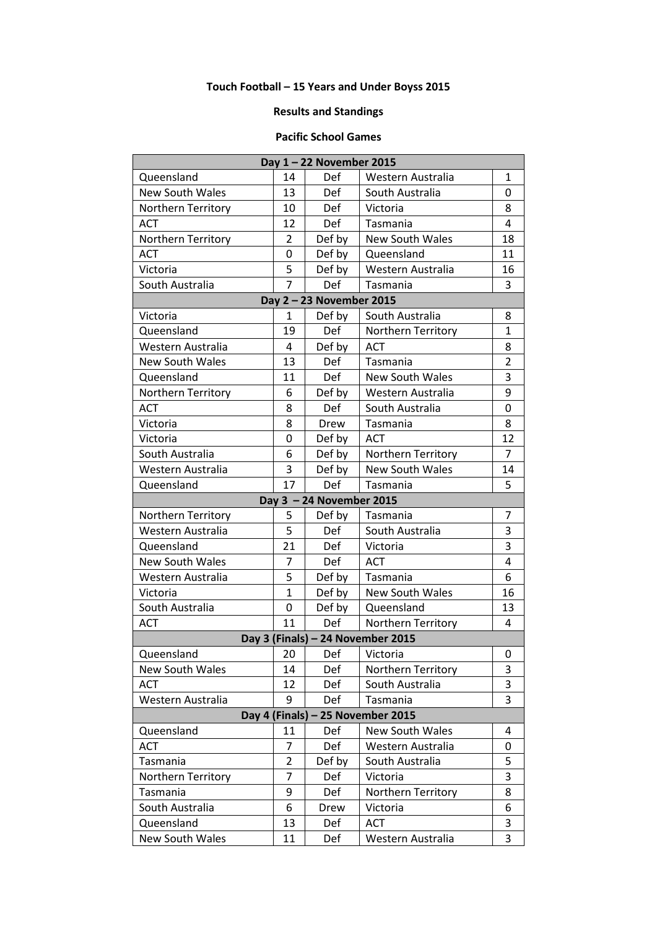## **Touch Football – 15 Years and Under Boyss 2015**

## **Results and Standings**

## **Pacific School Games**

| Day 1-22 November 2015            |                |            |                        |                |  |  |  |
|-----------------------------------|----------------|------------|------------------------|----------------|--|--|--|
| Queensland                        | 14             | Def        | Western Australia      | $\mathbf{1}$   |  |  |  |
| <b>New South Wales</b>            | 13             | Def        | South Australia        | 0              |  |  |  |
| Northern Territory                | 10             | <b>Def</b> | Victoria               | 8              |  |  |  |
| <b>ACT</b>                        | 12             | Def        | Tasmania               | 4              |  |  |  |
| Northern Territory                | $\overline{2}$ | Def by     | <b>New South Wales</b> | 18             |  |  |  |
| <b>ACT</b>                        | 0              | Def by     | Queensland             | 11             |  |  |  |
| Victoria                          | 5              | Def by     | Western Australia      | 16             |  |  |  |
| South Australia                   | $\overline{7}$ | Def        | Tasmania               | 3              |  |  |  |
| Day 2 - 23 November 2015          |                |            |                        |                |  |  |  |
| Victoria                          | 1              | Def by     | South Australia        | 8              |  |  |  |
| Queensland                        | 19             | Def        | Northern Territory     | $\mathbf{1}$   |  |  |  |
| Western Australia                 | 4              | Def by     | <b>ACT</b>             | 8              |  |  |  |
| New South Wales                   | 13             | Def        | Tasmania               | $\overline{2}$ |  |  |  |
| Queensland                        | 11             | Def        | <b>New South Wales</b> | 3              |  |  |  |
| Northern Territory                | 6              | Def by     | Western Australia      | 9              |  |  |  |
| <b>ACT</b>                        | 8              | Def        | South Australia        | 0              |  |  |  |
| Victoria                          | 8              | Drew       | Tasmania               | 8              |  |  |  |
| Victoria                          | 0              | Def by     | <b>ACT</b>             | 12             |  |  |  |
| South Australia                   | 6              | Def by     | Northern Territory     | 7              |  |  |  |
| Western Australia                 | 3              | Def by     | <b>New South Wales</b> | 14             |  |  |  |
| Queensland                        | 17             | Def        | Tasmania               | 5              |  |  |  |
| Day $3 - 24$ November 2015        |                |            |                        |                |  |  |  |
| Northern Territory                | 5              | Def by     | Tasmania               | 7              |  |  |  |
| Western Australia                 | 5              | Def        | South Australia        | 3              |  |  |  |
| Queensland                        | 21             | Def        | Victoria               | 3              |  |  |  |
| <b>New South Wales</b>            | 7              | Def        | <b>ACT</b>             | 4              |  |  |  |
| Western Australia                 | 5              | Def by     | Tasmania               | 6              |  |  |  |
| Victoria                          | $\mathbf{1}$   | Def by     | <b>New South Wales</b> | 16             |  |  |  |
| South Australia                   | 0              | Def by     | Queensland             | 13             |  |  |  |
| <b>ACT</b>                        | 11             | Def        | Northern Territory     | 4              |  |  |  |
| Day 3 (Finals) - 24 November 2015 |                |            |                        |                |  |  |  |
| Queensland                        | 20             | Def        | Victoria               | 0              |  |  |  |
| <b>New South Wales</b>            | 14             | Def        | Northern Territory     | 3              |  |  |  |
| <b>ACT</b>                        | 12             | Def        | South Australia        | 3              |  |  |  |
| Western Australia                 | 9              | Def        | Tasmania               | 3              |  |  |  |
| Day 4 (Finals) - 25 November 2015 |                |            |                        |                |  |  |  |
| Queensland                        | 11             | Def        | <b>New South Wales</b> | 4              |  |  |  |
| <b>ACT</b>                        | 7              | Def        | Western Australia      | 0              |  |  |  |
| Tasmania                          | $\overline{2}$ | Def by     | South Australia        | 5              |  |  |  |
| Northern Territory                | 7              | Def        | Victoria               | 3              |  |  |  |
| Tasmania                          | 9              | Def        | Northern Territory     | 8              |  |  |  |
| South Australia                   | 6              | Drew       | Victoria               | 6              |  |  |  |
| Queensland                        | 13             | Def        | <b>ACT</b>             | 3              |  |  |  |
| <b>New South Wales</b>            | 11             | Def        | Western Australia      | 3              |  |  |  |